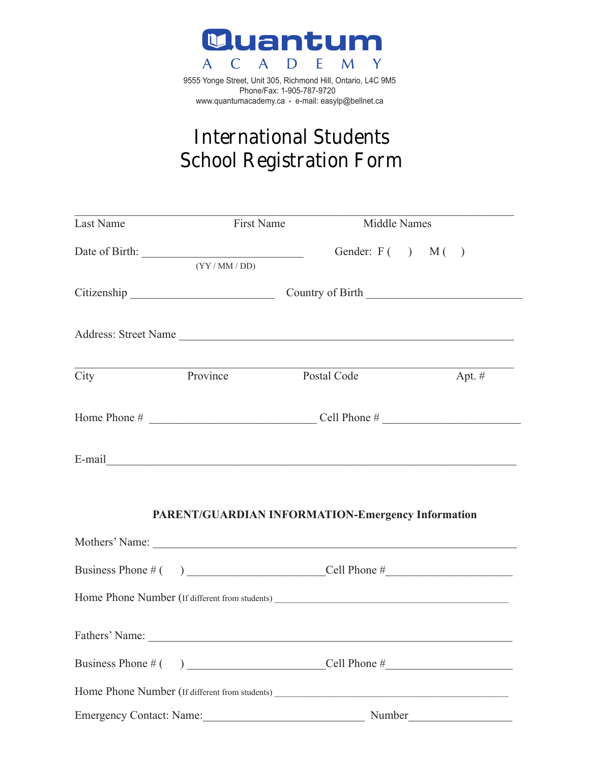

9555 Yonge Street, Unit 305, Richmond Hill, Ontario, L4C 9M5 Phone/Fax: 1-905-787-9720 www.quantumacademy.ca • e-mail: easylp@bellnet.ca

# **International Students International Students School Registration Form 2017-2018 School Registration Form**

| Last Name      | <b>First Name</b>                                                                                                    | Middle Names                                                                                                                                                                                                                   |          |
|----------------|----------------------------------------------------------------------------------------------------------------------|--------------------------------------------------------------------------------------------------------------------------------------------------------------------------------------------------------------------------------|----------|
|                | (YY/MM/DD)                                                                                                           | Gender: $F( )$ $M( )$                                                                                                                                                                                                          |          |
|                | Citizenship Country of Birth Country of Birth                                                                        |                                                                                                                                                                                                                                |          |
|                |                                                                                                                      | Address: Street Name                                                                                                                                                                                                           |          |
| City           | Province                                                                                                             | Postal Code                                                                                                                                                                                                                    | Apt. $#$ |
|                |                                                                                                                      |                                                                                                                                                                                                                                |          |
|                |                                                                                                                      |                                                                                                                                                                                                                                |          |
|                |                                                                                                                      | <b>PARENT/GUARDIAN INFORMATION-Emergency Information</b>                                                                                                                                                                       |          |
|                |                                                                                                                      | Mothers' Name: Name: Name: Name: Name: Name: Name: Name: Name: Name: Name: Name: Name: Name: Name: Name: Name: Name: Name: Name: Name: Name: Name: Name: Name: Name: Name: Name: Name: Name: Name: Name: Name: Name: Name: Nam |          |
|                |                                                                                                                      |                                                                                                                                                                                                                                |          |
|                |                                                                                                                      |                                                                                                                                                                                                                                |          |
| Fathers' Name: | <u> 1989 - Johann John Harry Harry Harry Harry Harry Harry Harry Harry Harry Harry Harry Harry Harry Harry Harry</u> |                                                                                                                                                                                                                                |          |
|                |                                                                                                                      |                                                                                                                                                                                                                                |          |
|                |                                                                                                                      |                                                                                                                                                                                                                                |          |
|                | Emergency Contact: Name:                                                                                             |                                                                                                                                                                                                                                |          |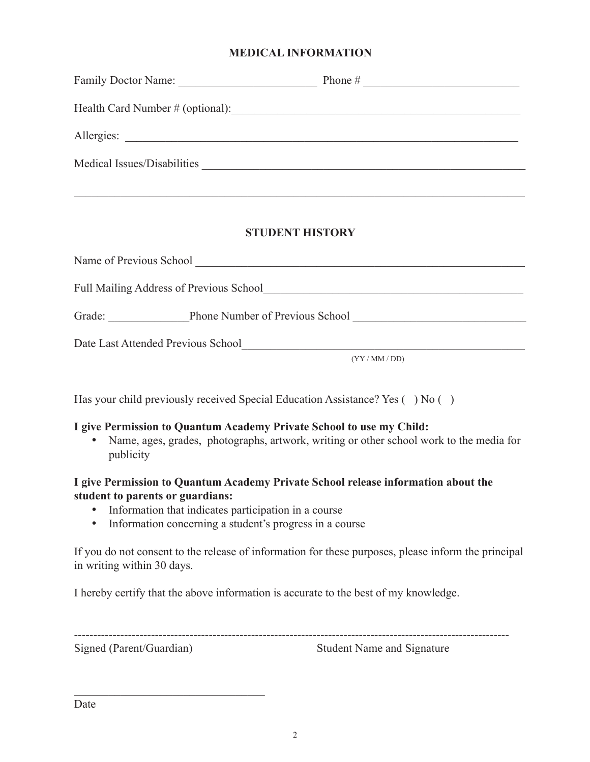#### **MEDICAL INFORMATION**

| Family Doctor Name:                                              | Phone $#$<br>the control of the control of the control of |  |  |
|------------------------------------------------------------------|-----------------------------------------------------------|--|--|
| Health Card Number # (optional):                                 |                                                           |  |  |
| Allergies:<br><u> 1989 - John Stein, Amerikaansk politiker (</u> |                                                           |  |  |
| Medical Issues/Disabilities                                      |                                                           |  |  |
|                                                                  |                                                           |  |  |

#### **STUDENT HISTORY**

\_\_\_\_\_\_\_\_\_\_\_\_\_\_\_\_\_\_\_\_\_\_\_\_\_\_\_\_\_\_\_\_\_\_\_\_\_\_\_\_\_\_\_\_\_\_\_\_\_\_\_\_\_\_\_\_\_\_\_\_\_\_\_\_\_\_\_\_\_\_\_\_\_\_\_\_\_\_

| Name of Previous School                 |                                 |
|-----------------------------------------|---------------------------------|
| Full Mailing Address of Previous School |                                 |
| Grade:                                  | Phone Number of Previous School |
| Date Last Attended Previous School      |                                 |
|                                         | (YY/MM/DD)                      |

Has your child previously received Special Education Assistance? Yes () No ()

# **I give Permission to Quantum Academy Private School to use my Child:**

• Name, ages, grades, photographs, artwork, writing or other school work to the media for publicity

#### **I give Permission to Quantum Academy Private School release information about the student to parents or guardians:**

- Information that indicates participation in a course
- Information concerning a student's progress in a course

If you do not consent to the release of information for these purposes, please inform the principal in writing within 30 days.

I hereby certify that the above information is accurate to the best of my knowledge.

----------------------------------------------------------------------------------------------------------------- Signed (Parent/Guardian) Student Name and Signature

 $\mathcal{L}_\text{max}$  , which is a set of the set of the set of the set of the set of the set of the set of the set of the set of the set of the set of the set of the set of the set of the set of the set of the set of the set of

Date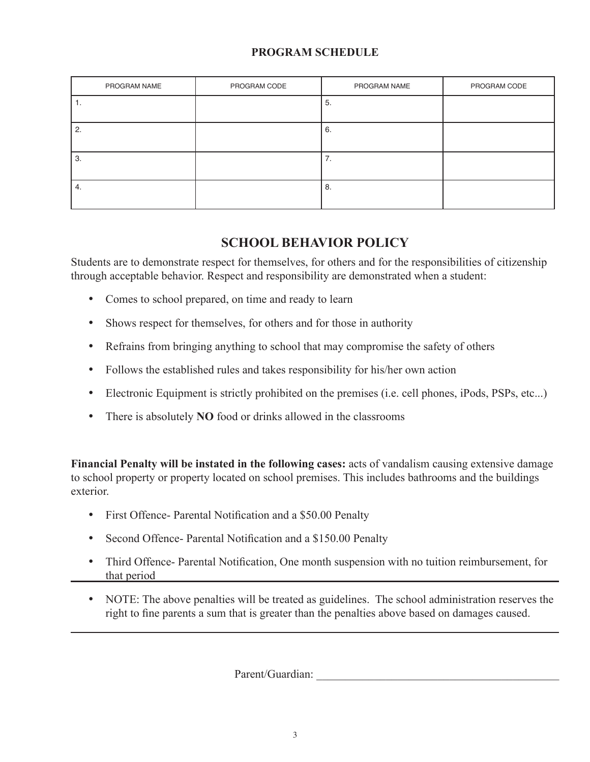# **PROGRAM SCHEDULE**

| PROGRAM NAME | PROGRAM CODE | PROGRAM NAME         | PROGRAM CODE |
|--------------|--------------|----------------------|--------------|
| .,           |              | 5.                   |              |
| 2.           |              | 6.                   |              |
| 3.           |              | $\overline{ }$<br>7. |              |
| 4.           |              | 8.                   |              |

# **SCHOOL BEHAVIOR POLICY**

Students are to demonstrate respect for themselves, for others and for the responsibilities of citizenship through acceptable behavior. Respect and responsibility are demonstrated when a student:

- • Comes to school prepared, on time and ready to learn
- Shows respect for themselves, for others and for those in authority
- Refrains from bringing anything to school that may compromise the safety of others
- Follows the established rules and takes responsibility for his/her own action
- Electronic Equipment is strictly prohibited on the premises (i.e. cell phones, iPods, PSPs, etc...)
- There is absolutely **NO** food or drinks allowed in the classrooms

**Financial Penalty will be instated in the following cases:** acts of vandalism causing extensive damage to school property or property located on school premises. This includes bathrooms and the buildings exterior.

- First Offence- Parental Notification and a \$50.00 Penalty
- Second Offence- Parental Notification and a \$150.00 Penalty
- Third Offence- Parental Notification, One month suspension with no tuition reimbursement, for that period
- NOTE: The above penalties will be treated as guidelines. The school administration reserves the right to fine parents a sum that is greater than the penalties above based on damages caused.

Parent/Guardian: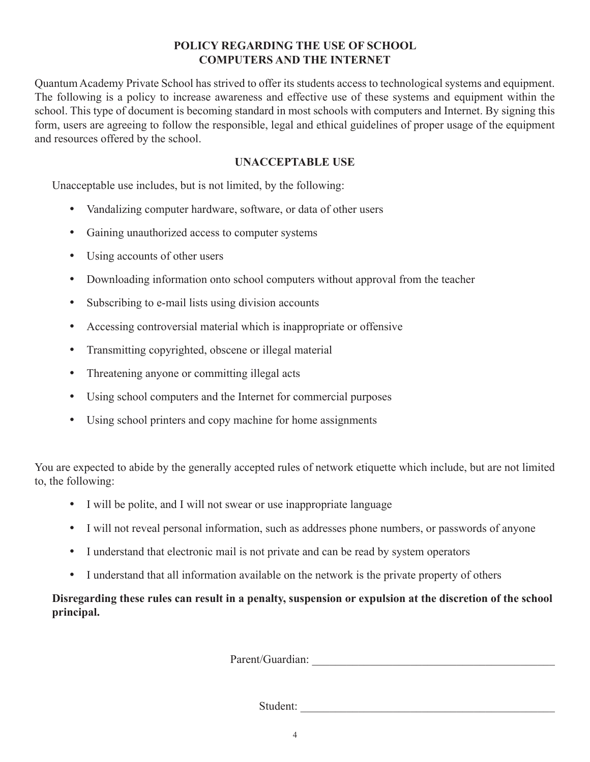#### **POLICY REGARDING THE USE OF SCHOOL COMPUTERS AND THE INTERNET**

Quantum Academy Private School has strived to offer its students access to technological systems and equipment. The following is a policy to increase awareness and effective use of these systems and equipment within the school. This type of document is becoming standard in most schools with computers and Internet. By signing this form, users are agreeing to follow the responsible, legal and ethical guidelines of proper usage of the equipment and resources offered by the school.

#### **UNACCEPTABLE USE**

Unacceptable use includes, but is not limited, by the following:

- Vandalizing computer hardware, software, or data of other users
- • Gaining unauthorized access to computer systems
- Using accounts of other users
- Downloading information onto school computers without approval from the teacher
- Subscribing to e-mail lists using division accounts
- Accessing controversial material which is inappropriate or offensive
- Transmitting copyrighted, obscene or illegal material
- Threatening anyone or committing illegal acts
- Using school computers and the Internet for commercial purposes
- Using school printers and copy machine for home assignments

You are expected to abide by the generally accepted rules of network etiquette which include, but are not limited to, the following:

- I will be polite, and I will not swear or use inappropriate language
- I will not reveal personal information, such as addresses phone numbers, or passwords of anyone
- I understand that electronic mail is not private and can be read by system operators
- I understand that all information available on the network is the private property of others

**Disregarding these rules can result in a penalty, suspension or expulsion at the discretion of the school principal.**

Parent/Guardian: \_\_\_\_\_\_\_\_\_\_\_\_\_\_\_\_\_\_\_\_\_\_\_\_\_\_\_\_\_\_\_\_\_\_\_\_\_\_\_\_\_\_

Student: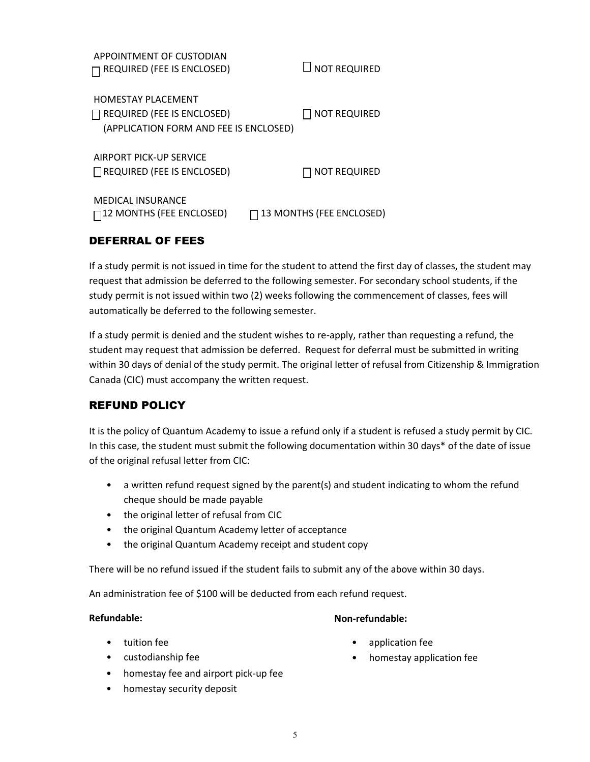| APPOINTMENT OF CUSTODIAN<br><b>REQUIRED (FEE IS ENCLOSED)</b>                                            | LI NOT REQUIRED          |
|----------------------------------------------------------------------------------------------------------|--------------------------|
| <b>HOMESTAY PLACEMENT</b><br><b>REQUIRED (FEE IS ENCLOSED)</b><br>(APPLICATION FORM AND FEE IS ENCLOSED) | <b>NOT REQUIRED</b>      |
| AIRPORT PICK-UP SERVICE<br>$\Box$ REQUIRED (FEE IS ENCLOSED)                                             | <b>NOT REQUIRED</b>      |
| <b>MEDICAL INSURANCE</b><br>$\Box$ 12 MONTHS (FEE ENCLOSED)                                              | 13 MONTHS (FEE ENCLOSED) |

### DEFERRAL OF FEES

If a study permit is not issued in time for the student to attend the first day of classes, the student may request that admission be deferred to the following semester. For secondary school students, if the study permit is not issued within two (2) weeks following the commencement of classes, fees will automatically be deferred to the following semester.

If a study permit is denied and the student wishes to re-apply, rather than requesting a refund, the student may request that admission be deferred. Request for deferral must be submitted in writing within 30 days of denial of the study permit. The original letter of refusal from Citizenship & Immigration Canada (CIC) must accompany the written request.

# REFUND POLICY

It is the policy of Quantum Academy to issue a refund only if a student is refused a study permit by CIC. In this case, the student must submit the following documentation within 30 days\* of the date of issue of the original refusal letter from CIC:

- a written refund request signed by the parent(s) and student indicating to whom the refund cheque should be made payable
- the original letter of refusal from CIC
- the original Quantum Academy letter of acceptance
- the original Quantum Academy receipt and student copy

There will be no refund issued if the student fails to submit any of the above within 30 days. • homestay fee and airport pick-up fee

An administration fee of \$100 will be deducted from each refund request.

#### **Refundable:**

#### **Non-refundable:**

- tuition fee
- custodianship fee
- application fee
- homestay application fee
- homestay fee and airport pick-up fee
- homestay security deposit